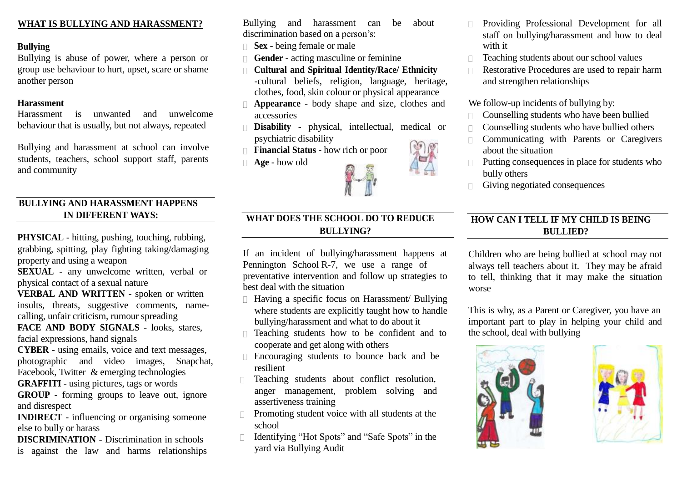# **WHAT IS BULLYING AND HARASSMENT?**

## **Bullying**

Bullying is abuse of power, where a person or group use behaviour to hurt, upset, scare or shame another person

#### **Harassment**

Harassment is unwanted and unwelcome behaviour that is usually, but not always, repeated

Bullying and harassment at school can involve students, teachers, school support staff, parents and community

# **BULLYING AND HARASSMENT HAPPENS IN DIFFERENT WAYS:**

**PHYSICAL** - hitting, pushing, touching, rubbing, grabbing, spitting, play fighting taking/damaging property and using a weapon

**SEXUAL** - any unwelcome written, verbal or physical contact of a sexual nature

**VERBAL AND WRITTEN** - spoken or written insults, threats, suggestive comments, namecalling, unfair criticism, rumour spreading

**FACE AND BODY SIGNALS** - looks, stares, facial expressions, hand signals

**CYBER** - using emails, voice and text messages, photographic and video images, Snapchat, Facebook, Twitter & emerging technologies

**GRAFFITI** - using pictures, tags or words

**GROUP** - forming groups to leave out, ignore and disrespect

**INDIRECT** - influencing or organising someone else to bully or harass

**DISCRIMINATION** - Discrimination in schools is against the law and harms relationships Bullying and harassment can be about discrimination based on a person's:

- **Sex** being female or male
- **Gender** acting masculine or feminine
- **Cultural and Spiritual Identity/Race/ Ethnicity** -cultural beliefs, religion, language, heritage, clothes, food, skin colour or physical appearance
- **Appearance** body shape and size, clothes and accessories
- **Disability** physical, intellectual, medical or psychiatric disability
- **Financial Status** how rich or poor
- **Age** how old



#### Providing Professional Development for all staff on bullying/harassment and how to deal with it

- $\Box$  Teaching students about our school values
- Restorative Procedures are used to repair harm and strengthen relationships

We follow-up incidents of bullying by:

- Counselling students who have been bullied
- $\Box$  Counselling students who have bullied others
- **Communicating with Parents or Caregivers** about the situation
- $\Box$  Putting consequences in place for students who bully others
- $\Box$  Giving negotiated consequences

# **HOW CAN I TELL IF MY CHILD IS BEING BULLIED?**

Children who are being bullied at school may not always tell teachers about it. They may be afraid to tell, thinking that it may make the situation worse

This is why, as a Parent or Caregiver, you have an important part to play in helping your child and the school, deal with bullying





# **WHAT DOES THE SCHOOL DO TO REDUCE BULLYING?**

If an incident of bullying/harassment happens at Pennington School R-7, we use a range of preventative intervention and follow up strategies to best deal with the situation

- $\Box$  Having a specific focus on Harassment/ Bullying where students are explicitly taught how to handle bullying/harassment and what to do about it
- $\Box$  Teaching students how to be confident and to cooperate and get along with others
- $\Box$  Encouraging students to bounce back and be resilient
- Teaching students about conflict resolution, anger management, problem solving and assertiveness training
- Promoting student voice with all students at the school
- Identifying "Hot Spots" and "Safe Spots" in the yard via Bullying Audit